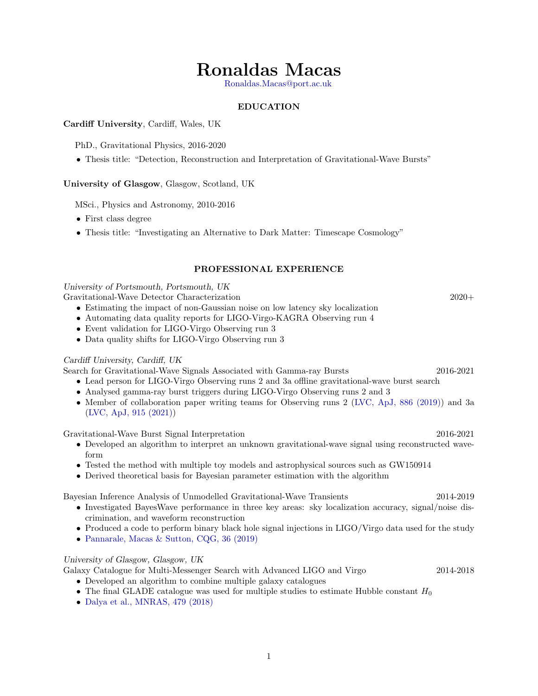# Ronaldas Macas

[Ronaldas.Macas@port.ac.uk](mailto:ronaldas.macas@port.ac.uk)

# EDUCATION

## Cardiff University, Cardiff, Wales, UK

PhD., Gravitational Physics, 2016-2020

• Thesis title: "Detection, Reconstruction and Interpretation of Gravitational-Wave Bursts"

# University of Glasgow, Glasgow, Scotland, UK

MSci., Physics and Astronomy, 2010-2016

- First class degree
- Thesis title: "Investigating an Alternative to Dark Matter: Timescape Cosmology"

# PROFESSIONAL EXPERIENCE

University of Portsmouth, Portsmouth, UK

Gravitational-Wave Detector Characterization 2020+

- Estimating the impact of non-Gaussian noise on low latency sky localization
- Automating data quality reports for LIGO-Virgo-KAGRA Observing run 4
- Event validation for LIGO-Virgo Observing run 3
- Data quality shifts for LIGO-Virgo Observing run 3

# Cardiff University, Cardiff, UK

Search for Gravitational-Wave Signals Associated with Gamma-ray Bursts 2016-2021

- Lead person for LIGO-Virgo Observing runs 2 and 3a offline gravitational-wave burst search
- Analysed gamma-ray burst triggers during LIGO-Virgo Observing runs 2 and 3
- Member of collaboration paper writing teams for Observing runs 2 [\(LVC, ApJ, 886 \(2019\)\)](https://iopscience.iop.org/article/10.3847/1538-4357/ab4b48) and 3a [\(LVC, ApJ, 915 \(2021\)\)](https://iopscience.iop.org/article/10.3847/1538-4357/abee15)

Gravitational-Wave Burst Signal Interpretation 2016-2021

- Developed an algorithm to interpret an unknown gravitational-wave signal using reconstructed waveform
- Tested the method with multiple toy models and astrophysical sources such as GW150914
- Derived theoretical basis for Bayesian parameter estimation with the algorithm

Bayesian Inference Analysis of Unmodelled Gravitational-Wave Transients 2014-2019

- Investigated BayesWave performance in three key areas: sky localization accuracy, signal/noise discrimination, and waveform reconstruction
- Produced a code to perform binary black hole signal injections in LIGO/Virgo data used for the study
- [Pannarale, Macas & Sutton, CQG, 36 \(2019\)](https://iopscience.iop.org/article/10.1088/1361-6382/aaf76d)

### University of Glasgow, Glasgow, UK

Galaxy Catalogue for Multi-Messenger Search with Advanced LIGO and Virgo 2014-2018

- Developed an algorithm to combine multiple galaxy catalogues
- The final GLADE catalogue was used for multiple studies to estimate Hubble constant  $H_0$
- [Dalya et al., MNRAS, 479 \(2018\)](https://academic.oup.com/mnras/article/479/2/2374/5046493)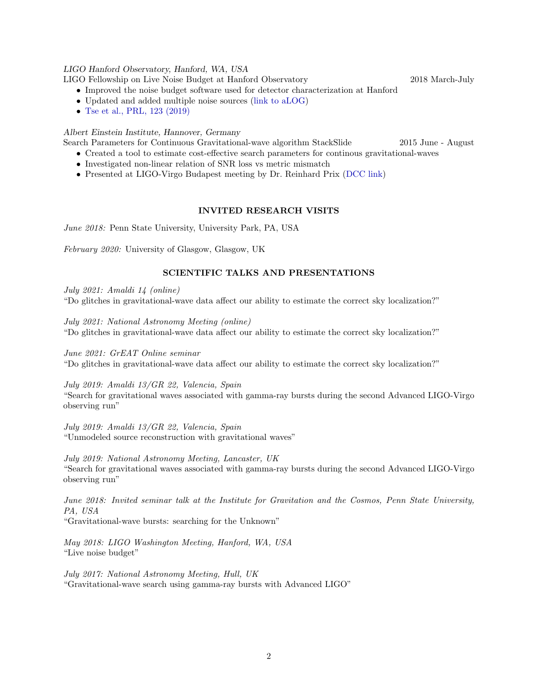#### LIGO Hanford Observatory, Hanford, WA, USA

LIGO Fellowship on Live Noise Budget at Hanford Observatory 2018 March-July

- Improved the noise budget software used for detector characterization at Hanford
- Updated and added multiple noise sources [\(link to aLOG\)](https://alog.ligo-wa.caltech.edu/aLOG/index.php?callRep=42950)
- [Tse et al., PRL, 123 \(2019\)](https://journals.aps.org/prl/abstract/10.1103/PhysRevLett.123.231107)

#### Albert Einstein Institute, Hannover, Germany

Search Parameters for Continuous Gravitational-wave algorithm StackSlide 2015 June - August

- Created a tool to estimate cost-effective search parameters for continous gravitational-waves
- Investigated non-linear relation of SNR loss vs metric mismatch
- Presented at LIGO-Virgo Budapest meeting by Dr. Reinhard Prix [\(DCC link\)](https://dcc.ligo.org/LIGO-G1501145)

#### INVITED RESEARCH VISITS

June 2018: Penn State University, University Park, PA, USA

February 2020: University of Glasgow, Glasgow, UK

# SCIENTIFIC TALKS AND PRESENTATIONS

July 2021: Amaldi 14 (online) "Do glitches in gravitational-wave data affect our ability to estimate the correct sky localization?"

July 2021: National Astronomy Meeting (online) "Do glitches in gravitational-wave data affect our ability to estimate the correct sky localization?"

June 2021: GrEAT Online seminar "Do glitches in gravitational-wave data affect our ability to estimate the correct sky localization?"

July 2019: Amaldi 13/GR 22, Valencia, Spain

"Search for gravitational waves associated with gamma-ray bursts during the second Advanced LIGO-Virgo observing run"

July 2019: Amaldi 13/GR 22, Valencia, Spain "Unmodeled source reconstruction with gravitational waves"

July 2019: National Astronomy Meeting, Lancaster, UK "Search for gravitational waves associated with gamma-ray bursts during the second Advanced LIGO-Virgo observing run"

June 2018: Invited seminar talk at the Institute for Gravitation and the Cosmos, Penn State University, PA, USA

"Gravitational-wave bursts: searching for the Unknown"

May 2018: LIGO Washington Meeting, Hanford, WA, USA "Live noise budget"

July 2017: National Astronomy Meeting, Hull, UK "Gravitational-wave search using gamma-ray bursts with Advanced LIGO"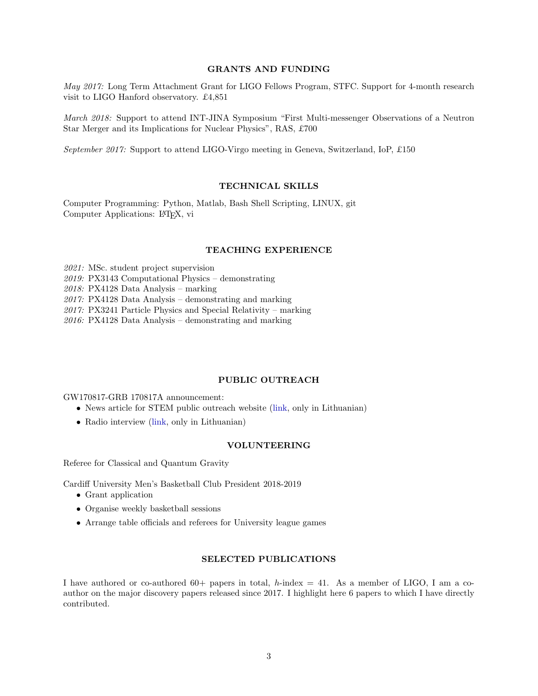## GRANTS AND FUNDING

May 2017: Long Term Attachment Grant for LIGO Fellows Program, STFC. Support for 4-month research visit to LIGO Hanford observatory. £4,851

March 2018: Support to attend INT-JINA Symposium "First Multi-messenger Observations of a Neutron Star Merger and its Implications for Nuclear Physics", RAS, £700

September 2017: Support to attend LIGO-Virgo meeting in Geneva, Switzerland, IoP, £150

## TECHNICAL SKILLS

Computer Programming: Python, Matlab, Bash Shell Scripting, LINUX, git Computer Applications: LATEX, vi

#### TEACHING EXPERIENCE

2021: MSc. student project supervision

2019: PX3143 Computational Physics – demonstrating

2018: PX4128 Data Analysis – marking

2017: PX4128 Data Analysis – demonstrating and marking

 $2017$ : PX3241 Particle Physics and Special Relativity – marking

 $2016$ : PX4128 Data Analysis – demonstrating and marking

#### PUBLIC OUTREACH

GW170817-GRB 170817A announcement:

- News article for STEM public outreach website [\(link,](http://techo.lt/gw170817-pirma-karta-aptiktas-gravitaciniu-ir-elektromagnetiniu-bangu-saltinis/) only in Lithuanian)
- Radio interview [\(link,](https://www.lrt.lt/mediateka/irasas/1013677715/pokalbiai-per-lrt-opus-2017-10-20-16-10) only in Lithuanian)

#### VOLUNTEERING

Referee for Classical and Quantum Gravity

Cardiff University Men's Basketball Club President 2018-2019

- Grant application
- Organise weekly basketball sessions
- Arrange table officials and referees for University league games

#### SELECTED PUBLICATIONS

I have authored or co-authored 60+ papers in total, h-index  $= 41$ . As a member of LIGO, I am a coauthor on the major discovery papers released since 2017. I highlight here 6 papers to which I have directly contributed.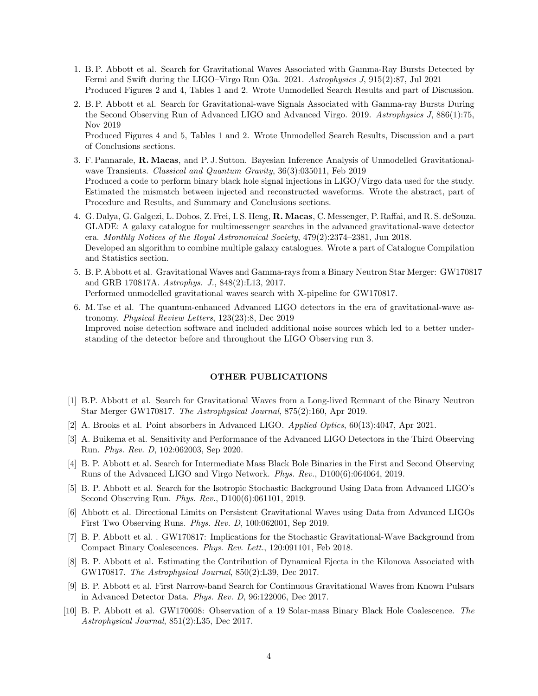- 1. B. P. Abbott et al. Search for Gravitational Waves Associated with Gamma-Ray Bursts Detected by Fermi and Swift during the LIGO–Virgo Run O3a. 2021. Astrophysics J, 915(2):87, Jul 2021 Produced Figures 2 and 4, Tables 1 and 2. Wrote Unmodelled Search Results and part of Discussion.
- 2. B. P. Abbott et al. Search for Gravitational-wave Signals Associated with Gamma-ray Bursts During the Second Observing Run of Advanced LIGO and Advanced Virgo. 2019. Astrophysics J, 886(1):75, Nov 2019

Produced Figures 4 and 5, Tables 1 and 2. Wrote Unmodelled Search Results, Discussion and a part of Conclusions sections.

- 3. F. Pannarale, R. Macas, and P. J. Sutton. Bayesian Inference Analysis of Unmodelled Gravitationalwave Transients. Classical and Quantum Gravity, 36(3):035011, Feb 2019 Produced a code to perform binary black hole signal injections in LIGO/Virgo data used for the study. Estimated the mismatch between injected and reconstructed waveforms. Wrote the abstract, part of Procedure and Results, and Summary and Conclusions sections.
- 4. G. Dalya, G. Galgczi, L. Dobos, Z. Frei, I. S. Heng, R. Macas, C. Messenger, P. Raffai, and R. S. deSouza. GLADE: A galaxy catalogue for multimessenger searches in the advanced gravitational-wave detector era. Monthly Notices of the Royal Astronomical Society, 479(2):2374–2381, Jun 2018. Developed an algorithm to combine multiple galaxy catalogues. Wrote a part of Catalogue Compilation and Statistics section.
- 5. B. P. Abbott et al. Gravitational Waves and Gamma-rays from a Binary Neutron Star Merger: GW170817 and GRB 170817A. Astrophys. J., 848(2):L13, 2017. Performed unmodelled gravitational waves search with X-pipeline for GW170817.
- 6. M. Tse et al. The quantum-enhanced Advanced LIGO detectors in the era of gravitational-wave astronomy. Physical Review Letters, 123(23):8, Dec 2019 Improved noise detection software and included additional noise sources which led to a better understanding of the detector before and throughout the LIGO Observing run 3.

#### OTHER PUBLICATIONS

- [1] B.P. Abbott et al. Search for Gravitational Waves from a Long-lived Remnant of the Binary Neutron Star Merger GW170817. The Astrophysical Journal, 875(2):160, Apr 2019.
- [2] A. Brooks et al. Point absorbers in Advanced LIGO. Applied Optics, 60(13):4047, Apr 2021.
- [3] A. Buikema et al. Sensitivity and Performance of the Advanced LIGO Detectors in the Third Observing Run. Phys. Rev. D, 102:062003, Sep 2020.
- [4] B. P. Abbott et al. Search for Intermediate Mass Black Bole Binaries in the First and Second Observing Runs of the Advanced LIGO and Virgo Network. Phys. Rev., D100(6):064064, 2019.
- [5] B. P. Abbott et al. Search for the Isotropic Stochastic Background Using Data from Advanced LIGO's Second Observing Run. Phys. Rev., D100(6):061101, 2019.
- [6] Abbott et al. Directional Limits on Persistent Gravitational Waves using Data from Advanced LIGOs First Two Observing Runs. Phys. Rev. D, 100:062001, Sep 2019.
- [7] B. P. Abbott et al. . GW170817: Implications for the Stochastic Gravitational-Wave Background from Compact Binary Coalescences. Phys. Rev. Lett., 120:091101, Feb 2018.
- [8] B. P. Abbott et al. Estimating the Contribution of Dynamical Ejecta in the Kilonova Associated with GW170817. The Astrophysical Journal, 850(2):L39, Dec 2017.
- [9] B. P. Abbott et al. First Narrow-band Search for Continuous Gravitational Waves from Known Pulsars in Advanced Detector Data. Phys. Rev. D, 96:122006, Dec 2017.
- [10] B. P. Abbott et al. GW170608: Observation of a 19 Solar-mass Binary Black Hole Coalescence. The Astrophysical Journal, 851(2):L35, Dec 2017.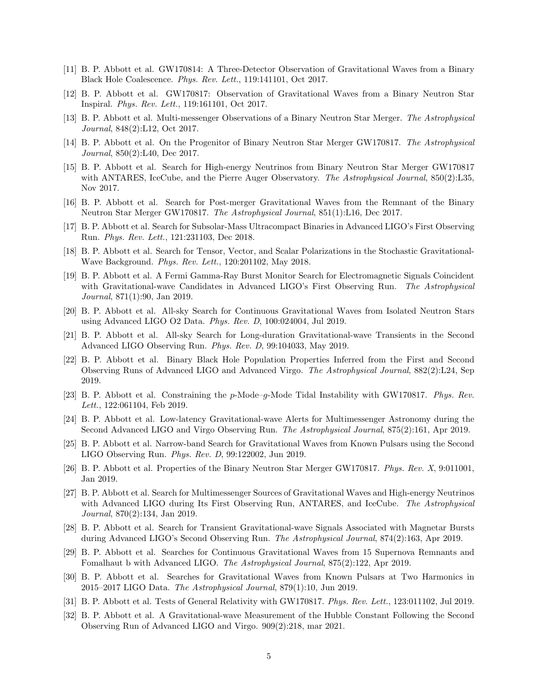- [11] B. P. Abbott et al. GW170814: A Three-Detector Observation of Gravitational Waves from a Binary Black Hole Coalescence. Phys. Rev. Lett., 119:141101, Oct 2017.
- [12] B. P. Abbott et al. GW170817: Observation of Gravitational Waves from a Binary Neutron Star Inspiral. Phys. Rev. Lett., 119:161101, Oct 2017.
- [13] B. P. Abbott et al. Multi-messenger Observations of a Binary Neutron Star Merger. The Astrophysical Journal, 848(2):L12, Oct 2017.
- [14] B. P. Abbott et al. On the Progenitor of Binary Neutron Star Merger GW170817. The Astrophysical Journal, 850(2):L40, Dec 2017.
- [15] B. P. Abbott et al. Search for High-energy Neutrinos from Binary Neutron Star Merger GW170817 with ANTARES, IceCube, and the Pierre Auger Observatory. The Astrophysical Journal, 850(2):L35, Nov 2017.
- [16] B. P. Abbott et al. Search for Post-merger Gravitational Waves from the Remnant of the Binary Neutron Star Merger GW170817. The Astrophysical Journal, 851(1):L16, Dec 2017.
- [17] B. P. Abbott et al. Search for Subsolar-Mass Ultracompact Binaries in Advanced LIGO's First Observing Run. Phys. Rev. Lett., 121:231103, Dec 2018.
- [18] B. P. Abbott et al. Search for Tensor, Vector, and Scalar Polarizations in the Stochastic Gravitational-Wave Background. Phys. Rev. Lett., 120:201102, May 2018.
- [19] B. P. Abbott et al. A Fermi Gamma-Ray Burst Monitor Search for Electromagnetic Signals Coincident with Gravitational-wave Candidates in Advanced LIGO's First Observing Run. The Astrophysical Journal, 871(1):90, Jan 2019.
- [20] B. P. Abbott et al. All-sky Search for Continuous Gravitational Waves from Isolated Neutron Stars using Advanced LIGO O2 Data. Phys. Rev. D, 100:024004, Jul 2019.
- [21] B. P. Abbott et al. All-sky Search for Long-duration Gravitational-wave Transients in the Second Advanced LIGO Observing Run. Phys. Rev. D, 99:104033, May 2019.
- [22] B. P. Abbott et al. Binary Black Hole Population Properties Inferred from the First and Second Observing Runs of Advanced LIGO and Advanced Virgo. The Astrophysical Journal, 882(2):L24, Sep 2019.
- [23] B. P. Abbott et al. Constraining the p-Mode–g-Mode Tidal Instability with GW170817. Phys. Rev. Lett., 122:061104, Feb 2019.
- [24] B. P. Abbott et al. Low-latency Gravitational-wave Alerts for Multimessenger Astronomy during the Second Advanced LIGO and Virgo Observing Run. The Astrophysical Journal, 875(2):161, Apr 2019.
- [25] B. P. Abbott et al. Narrow-band Search for Gravitational Waves from Known Pulsars using the Second LIGO Observing Run. Phys. Rev. D, 99:122002, Jun 2019.
- [26] B. P. Abbott et al. Properties of the Binary Neutron Star Merger GW170817. Phys. Rev. X, 9:011001, Jan 2019.
- [27] B. P. Abbott et al. Search for Multimessenger Sources of Gravitational Waves and High-energy Neutrinos with Advanced LIGO during Its First Observing Run, ANTARES, and IceCube. The Astrophysical Journal, 870(2):134, Jan 2019.
- [28] B. P. Abbott et al. Search for Transient Gravitational-wave Signals Associated with Magnetar Bursts during Advanced LIGO's Second Observing Run. The Astrophysical Journal, 874(2):163, Apr 2019.
- [29] B. P. Abbott et al. Searches for Continuous Gravitational Waves from 15 Supernova Remnants and Fomalhaut b with Advanced LIGO. The Astrophysical Journal, 875(2):122, Apr 2019.
- [30] B. P. Abbott et al. Searches for Gravitational Waves from Known Pulsars at Two Harmonics in 2015–2017 LIGO Data. The Astrophysical Journal, 879(1):10, Jun 2019.
- [31] B. P. Abbott et al. Tests of General Relativity with GW170817. Phys. Rev. Lett., 123:011102, Jul 2019.
- [32] B. P. Abbott et al. A Gravitational-wave Measurement of the Hubble Constant Following the Second Observing Run of Advanced LIGO and Virgo. 909(2):218, mar 2021.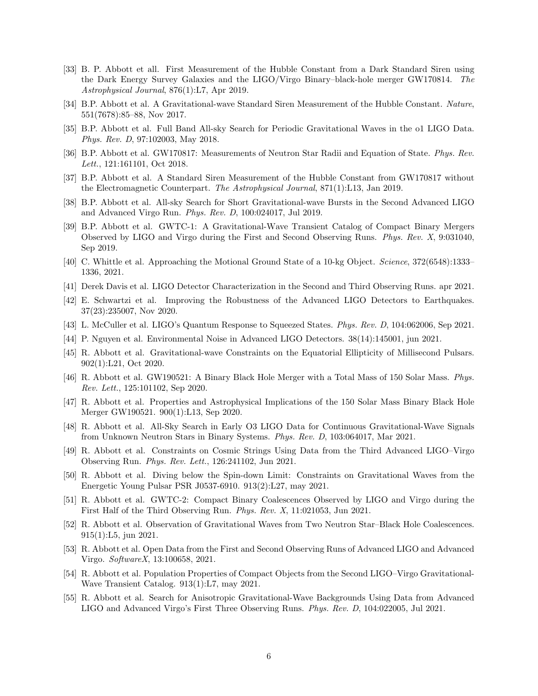- [33] B. P. Abbott et all. First Measurement of the Hubble Constant from a Dark Standard Siren using the Dark Energy Survey Galaxies and the LIGO/Virgo Binary–black-hole merger GW170814. The Astrophysical Journal, 876(1):L7, Apr 2019.
- [34] B.P. Abbott et al. A Gravitational-wave Standard Siren Measurement of the Hubble Constant. Nature, 551(7678):85–88, Nov 2017.
- [35] B.P. Abbott et al. Full Band All-sky Search for Periodic Gravitational Waves in the o1 LIGO Data. Phys. Rev. D, 97:102003, May 2018.
- [36] B.P. Abbott et al. GW170817: Measurements of Neutron Star Radii and Equation of State. Phys. Rev. Lett., 121:161101, Oct 2018.
- [37] B.P. Abbott et al. A Standard Siren Measurement of the Hubble Constant from GW170817 without the Electromagnetic Counterpart. The Astrophysical Journal, 871(1):L13, Jan 2019.
- [38] B.P. Abbott et al. All-sky Search for Short Gravitational-wave Bursts in the Second Advanced LIGO and Advanced Virgo Run. Phys. Rev. D, 100:024017, Jul 2019.
- [39] B.P. Abbott et al. GWTC-1: A Gravitational-Wave Transient Catalog of Compact Binary Mergers Observed by LIGO and Virgo during the First and Second Observing Runs. Phys. Rev. X, 9:031040, Sep 2019.
- [40] C. Whittle et al. Approaching the Motional Ground State of a 10-kg Object. Science, 372(6548):1333– 1336, 2021.
- [41] Derek Davis et al. LIGO Detector Characterization in the Second and Third Observing Runs. apr 2021.
- [42] E. Schwartzi et al. Improving the Robustness of the Advanced LIGO Detectors to Earthquakes. 37(23):235007, Nov 2020.
- [43] L. McCuller et al. LIGO's Quantum Response to Squeezed States. Phys. Rev. D, 104:062006, Sep 2021.
- [44] P. Nguyen et al. Environmental Noise in Advanced LIGO Detectors. 38(14):145001, jun 2021.
- [45] R. Abbott et al. Gravitational-wave Constraints on the Equatorial Ellipticity of Millisecond Pulsars. 902(1):L21, Oct 2020.
- [46] R. Abbott et al. GW190521: A Binary Black Hole Merger with a Total Mass of 150 Solar Mass. Phys. Rev. Lett., 125:101102, Sep 2020.
- [47] R. Abbott et al. Properties and Astrophysical Implications of the 150 Solar Mass Binary Black Hole Merger GW190521. 900(1):L13, Sep 2020.
- [48] R. Abbott et al. All-Sky Search in Early O3 LIGO Data for Continuous Gravitational-Wave Signals from Unknown Neutron Stars in Binary Systems. Phys. Rev. D, 103:064017, Mar 2021.
- [49] R. Abbott et al. Constraints on Cosmic Strings Using Data from the Third Advanced LIGO–Virgo Observing Run. Phys. Rev. Lett., 126:241102, Jun 2021.
- [50] R. Abbott et al. Diving below the Spin-down Limit: Constraints on Gravitational Waves from the Energetic Young Pulsar PSR J0537-6910. 913(2):L27, may 2021.
- [51] R. Abbott et al. GWTC-2: Compact Binary Coalescences Observed by LIGO and Virgo during the First Half of the Third Observing Run. Phys. Rev. X, 11:021053, Jun 2021.
- [52] R. Abbott et al. Observation of Gravitational Waves from Two Neutron Star–Black Hole Coalescences. 915(1):L5, jun 2021.
- [53] R. Abbott et al. Open Data from the First and Second Observing Runs of Advanced LIGO and Advanced Virgo. SoftwareX, 13:100658, 2021.
- [54] R. Abbott et al. Population Properties of Compact Objects from the Second LIGO–Virgo Gravitational-Wave Transient Catalog. 913(1):L7, may 2021.
- [55] R. Abbott et al. Search for Anisotropic Gravitational-Wave Backgrounds Using Data from Advanced LIGO and Advanced Virgo's First Three Observing Runs. Phys. Rev. D, 104:022005, Jul 2021.